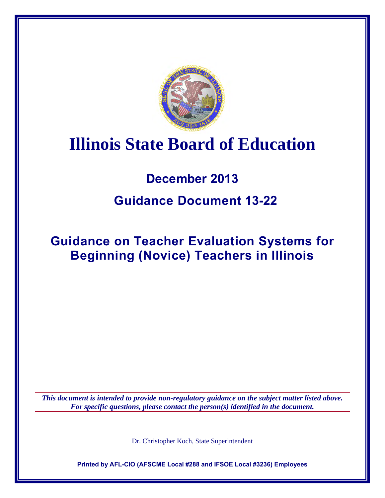

# **Illinois State Board of Education**

## **December 2013**

## **Guidance Document 13-22**

## **Guidance on Teacher Evaluation Systems for Beginning (Novice) Teachers in Illinois**

*This document is intended to provide non-regulatory guidance on the subject matter listed above. For specific questions, please contact the person(s) identified in the document.*

Dr. Christopher Koch, State Superintendent

**Printed by AFL-CIO (AFSCME Local #288 and IFSOE Local #3236) Employees**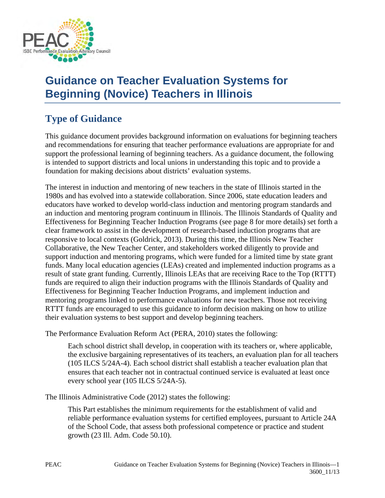

## **Guidance on Teacher Evaluation Systems for Beginning (Novice) Teachers in Illinois**

## **Type of Guidance**

This guidance document provides background information on evaluations for beginning teachers and recommendations for ensuring that teacher performance evaluations are appropriate for and support the professional learning of beginning teachers. As a guidance document, the following is intended to support districts and local unions in understanding this topic and to provide a foundation for making decisions about districts' evaluation systems.

The interest in induction and mentoring of new teachers in the state of Illinois started in the 1980s and has evolved into a statewide collaboration. Since 2006, state education leaders and educators have worked to develop world-class induction and mentoring program standards and an induction and mentoring program continuum in Illinois. The Illinois Standards of Quality and Effectiveness for Beginning Teacher Induction Programs (see page 8 for more details) set forth a clear framework to assist in the development of research-based induction programs that are responsive to local contexts (Goldrick, 2013). During this time, the Illinois New Teacher Collaborative, the New Teacher Center, and stakeholders worked diligently to provide and support induction and mentoring programs, which were funded for a limited time by state grant funds. Many local education agencies (LEAs) created and implemented induction programs as a result of state grant funding. Currently, Illinois LEAs that are receiving Race to the Top (RTTT) funds are required to align their induction programs with the Illinois Standards of Quality and Effectiveness for Beginning Teacher Induction Programs, and implement induction and mentoring programs linked to performance evaluations for new teachers. Those not receiving RTTT funds are encouraged to use this guidance to inform decision making on how to utilize their evaluation systems to best support and develop beginning teachers.

The Performance Evaluation Reform Act (PERA, 2010) states the following:

Each school district shall develop, in cooperation with its teachers or, where applicable, the exclusive bargaining representatives of its teachers, an evaluation plan for all teachers (105 ILCS 5/24A-4). Each school district shall establish a teacher evaluation plan that ensures that each teacher not in contractual continued service is evaluated at least once every school year (105 ILCS 5/24A-5).

The Illinois Administrative Code (2012) states the following:

This Part establishes the minimum requirements for the establishment of valid and reliable performance evaluation systems for certified employees, pursuant to Article 24A of the School Code, that assess both professional competence or practice and student growth (23 Ill. Adm. Code 50.10).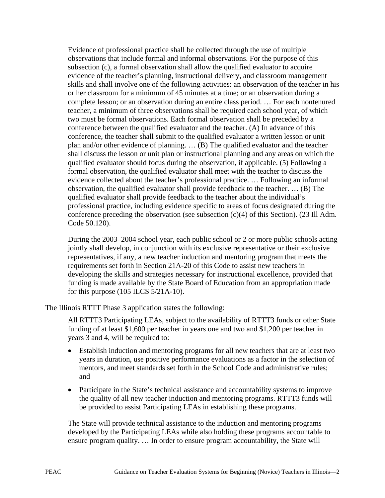Evidence of professional practice shall be collected through the use of multiple observations that include formal and informal observations. For the purpose of this subsection (c), a formal observation shall allow the qualified evaluator to acquire evidence of the teacher's planning, instructional delivery, and classroom management skills and shall involve one of the following activities: an observation of the teacher in his or her classroom for a minimum of 45 minutes at a time; or an observation during a complete lesson; or an observation during an entire class period. … For each nontenured teacher, a minimum of three observations shall be required each school year, of which two must be formal observations. Each formal observation shall be preceded by a conference between the qualified evaluator and the teacher. (A) In advance of this conference, the teacher shall submit to the qualified evaluator a written lesson or unit plan and/or other evidence of planning. … (B) The qualified evaluator and the teacher shall discuss the lesson or unit plan or instructional planning and any areas on which the qualified evaluator should focus during the observation, if applicable. (5) Following a formal observation, the qualified evaluator shall meet with the teacher to discuss the evidence collected about the teacher's professional practice. … Following an informal observation, the qualified evaluator shall provide feedback to the teacher. … (B) The qualified evaluator shall provide feedback to the teacher about the individual's professional practice, including evidence specific to areas of focus designated during the conference preceding the observation (see subsection  $(c)(4)$  of this Section). (23 Ill Adm. Code 50.120).

During the 2003–2004 school year, each public school or 2 or more public schools acting jointly shall develop, in conjunction with its exclusive representative or their exclusive representatives, if any, a new teacher induction and mentoring program that meets the requirements set forth in Section 21A-20 of this Code to assist new teachers in developing the skills and strategies necessary for instructional excellence, provided that funding is made available by the State Board of Education from an appropriation made for this purpose (105 ILCS 5/21A-10).

The Illinois RTTT Phase 3 application states the following:

All RTTT3 Participating LEAs, subject to the availability of RTTT3 funds or other State funding of at least \$1,600 per teacher in years one and two and \$1,200 per teacher in years 3 and 4, will be required to:

- Establish induction and mentoring programs for all new teachers that are at least two years in duration, use positive performance evaluations as a factor in the selection of mentors, and meet standards set forth in the School Code and administrative rules; and
- Participate in the State's technical assistance and accountability systems to improve the quality of all new teacher induction and mentoring programs. RTTT3 funds will be provided to assist Participating LEAs in establishing these programs.

The State will provide technical assistance to the induction and mentoring programs developed by the Participating LEAs while also holding these programs accountable to ensure program quality. … In order to ensure program accountability, the State will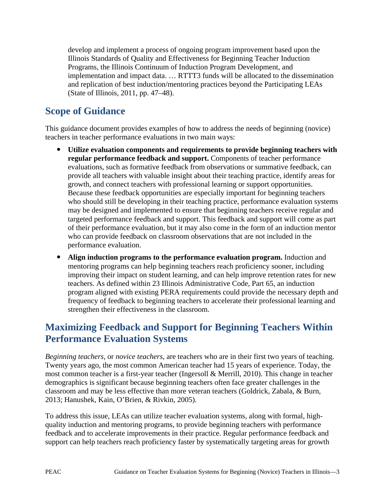develop and implement a process of ongoing program improvement based upon the Illinois Standards of Quality and Effectiveness for Beginning Teacher Induction Programs, the Illinois Continuum of Induction Program Development, and implementation and impact data. … RTTT3 funds will be allocated to the dissemination and replication of best induction/mentoring practices beyond the Participating LEAs (State of Illinois, 2011, pp. 47–48).

### **Scope of Guidance**

This guidance document provides examples of how to address the needs of beginning (novice) teachers in teacher performance evaluations in two main ways:

- **Utilize evaluation components and requirements to provide beginning teachers with regular performance feedback and support.** Components of teacher performance evaluations, such as formative feedback from observations or summative feedback, can provide all teachers with valuable insight about their teaching practice, identify areas for growth, and connect teachers with professional learning or support opportunities. Because these feedback opportunities are especially important for beginning teachers who should still be developing in their teaching practice, performance evaluation systems may be designed and implemented to ensure that beginning teachers receive regular and targeted performance feedback and support. This feedback and support will come as part of their performance evaluation, but it may also come in the form of an induction mentor who can provide feedback on classroom observations that are not included in the performance evaluation.
- **Align induction programs to the performance evaluation program.** Induction and mentoring programs can help beginning teachers reach proficiency sooner, including improving their impact on student learning, and can help improve retention rates for new teachers. As defined within 23 Illinois Administrative Code, Part 65, an induction program aligned with existing PERA requirements could provide the necessary depth and frequency of feedback to beginning teachers to accelerate their professional learning and strengthen their effectiveness in the classroom.

## **Maximizing Feedback and Support for Beginning Teachers Within Performance Evaluation Systems**

*Beginning teachers*, or *novice teachers*, are teachers who are in their first two years of teaching. Twenty years ago, the most common American teacher had 15 years of experience. Today, the most common teacher is a first-year teacher (Ingersoll & Merrill, 2010). This change in teacher demographics is significant because beginning teachers often face greater challenges in the classroom and may be less effective than more veteran teachers (Goldrick, Zabala, & Burn, 2013; Hanushek, Kain, O'Brien, & Rivkin, 2005).

To address this issue, LEAs can utilize teacher evaluation systems, along with formal, highquality induction and mentoring programs, to provide beginning teachers with performance feedback and to accelerate improvements in their practice. Regular performance feedback and support can help teachers reach proficiency faster by systematically targeting areas for growth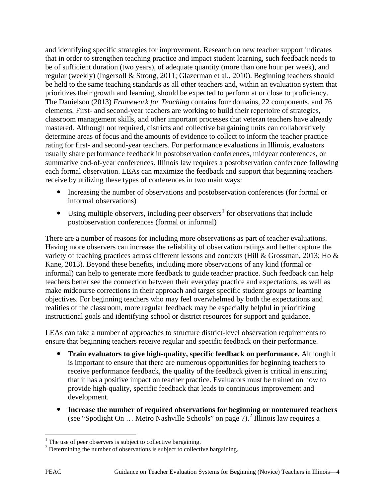and identifying specific strategies for improvement. Research on new teacher support indicates that in order to strengthen teaching practice and impact student learning, such feedback needs to be of sufficient duration (two years), of adequate quantity (more than one hour per week), and regular (weekly) (Ingersoll & Strong, 2011; Glazerman et al., 2010). Beginning teachers should be held to the same teaching standards as all other teachers and, within an evaluation system that prioritizes their growth and learning, should be expected to perform at or close to proficiency. The Danielson (2013) *Framework for Teaching* contains four domains, 22 components, and 76 elements. First- and second-year teachers are working to build their repertoire of strategies, classroom management skills, and other important processes that veteran teachers have already mastered. Although not required, districts and collective bargaining units can collaboratively determine areas of focus and the amounts of evidence to collect to inform the teacher practice rating for first- and second-year teachers. For performance evaluations in Illinois, evaluators usually share performance feedback in postobservation conferences, midyear conferences, or summative end-of-year conferences. Illinois law requires a postobservation conference following each formal observation. LEAs can maximize the feedback and support that beginning teachers receive by utilizing these types of conferences in two main ways:

- Increasing the number of observations and postobservation conferences (for formal or informal observations)
- Using multiple observers, including peer observers<sup>[1](#page-4-0)</sup> for observations that include postobservation conferences (formal or informal)

There are a number of reasons for including more observations as part of teacher evaluations. Having more observers can increase the reliability of observation ratings and better capture the variety of teaching practices across different lessons and contexts (Hill & Grossman, 2013; Ho & Kane, 2013). Beyond these benefits, including more observations of any kind (formal or informal) can help to generate more feedback to guide teacher practice. Such feedback can help teachers better see the connection between their everyday practice and expectations, as well as make midcourse corrections in their approach and target specific student groups or learning objectives. For beginning teachers who may feel overwhelmed by both the expectations and realities of the classroom, more regular feedback may be especially helpful in prioritizing instructional goals and identifying school or district resources for support and guidance.

LEAs can take a number of approaches to structure district-level observation requirements to ensure that beginning teachers receive regular and specific feedback on their performance.

- **Train evaluators to give high-quality, specific feedback on performance.** Although it is important to ensure that there are numerous opportunities for beginning teachers to receive performance feedback, the quality of the feedback given is critical in ensuring that it has a positive impact on teacher practice. Evaluators must be trained on how to provide high-quality, specific feedback that leads to continuous improvement and development.
- **Increase the number of required observations for beginning or nontenured teachers**  (see "Spotlight On … Metro Nashville Schools" on page 7).[2](#page-4-1) Illinois law requires a

 $\overline{a}$  $1$  The use of peer observers is subject to collective bargaining.

<span id="page-4-1"></span><span id="page-4-0"></span> $2$  Determining the number of observations is subject to collective bargaining.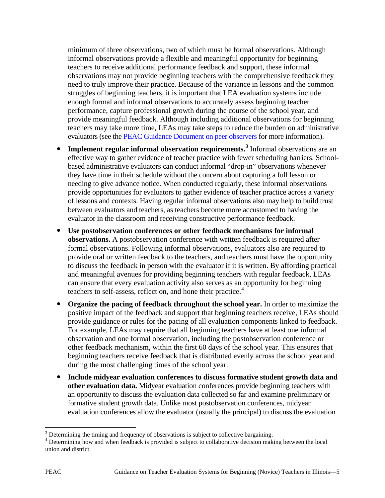minimum of three observations, two of which must be formal observations. Although informal observations provide a flexible and meaningful opportunity for beginning teachers to receive additional performance feedback and support, these informal observations may not provide beginning teachers with the comprehensive feedback they need to truly improve their practice. Because of the variance in lessons and the common struggles of beginning teachers, it is important that LEA evaluation systems include enough formal and informal observations to accurately assess beginning teacher performance, capture professional growth during the course of the school year, and provide meaningful feedback. Although including additional observations for beginning teachers may take more time, LEAs may take steps to reduce the burden on administrative evaluators (see the [PEAC Guidance Document on peer observers](http://www.isbe.state.il.us/peac/pdf/guidance/13-17-pe-teacher-eval.pdf) for more information).

- **Implement regular informal observation requirements.[3](#page-5-0)** Informal observations are an effective way to gather evidence of teacher practice with fewer scheduling barriers. Schoolbased administrative evaluators can conduct informal "drop-in" observations whenever they have time in their schedule without the concern about capturing a full lesson or needing to give advance notice. When conducted regularly, these informal observations provide opportunities for evaluators to gather evidence of teacher practice across a variety of lessons and contexts. Having regular informal observations also may help to build trust between evaluators and teachers, as teachers become more accustomed to having the evaluator in the classroom and receiving constructive performance feedback.
- **Use postobservation conferences or other feedback mechanisms for informal observations.** A postobservation conference with written feedback is required after formal observations. Following informal observations, evaluators also are required to provide oral or written feedback to the teachers, and teachers must have the opportunity to discuss the feedback in person with the evaluator if it is written. By affording practical and meaningful avenues for providing beginning teachers with regular feedback, LEAs can ensure that every evaluation activity also serves as an opportunity for beginning teachers to self-assess, reflect on, and hone their practice. $4$
- **Organize the pacing of feedback throughout the school year.** In order to maximize the positive impact of the feedback and support that beginning teachers receive, LEAs should provide guidance or rules for the pacing of all evaluation components linked to feedback. For example, LEAs may require that all beginning teachers have at least one informal observation and one formal observation, including the postobservation conference or other feedback mechanism, within the first 60 days of the school year. This ensures that beginning teachers receive feedback that is distributed evenly across the school year and during the most challenging times of the school year.
- **Include midyear evaluation conferences to discuss formative student growth data and other evaluation data.** Midyear evaluation conferences provide beginning teachers with an opportunity to discuss the evaluation data collected so far and examine preliminary or formative student growth data. Unlike most postobservation conferences, midyear evaluation conferences allow the evaluator (usually the principal) to discuss the evaluation

 $\overline{a}$ 

<span id="page-5-1"></span><span id="page-5-0"></span> $3$  Determining the timing and frequency of observations is subject to collective bargaining.  $4$  Determining how and when feedback is provided is subject to collaborative decision making between the local union and district.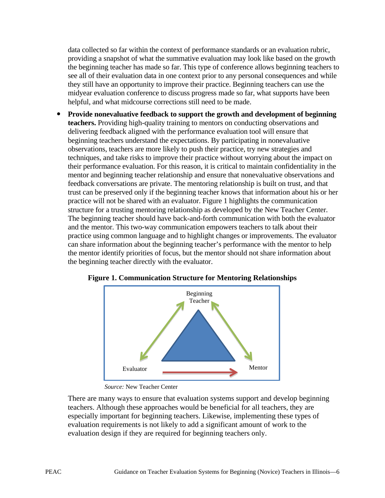data collected so far within the context of performance standards or an evaluation rubric, providing a snapshot of what the summative evaluation may look like based on the growth the beginning teacher has made so far. This type of conference allows beginning teachers to see all of their evaluation data in one context prior to any personal consequences and while they still have an opportunity to improve their practice. Beginning teachers can use the midyear evaluation conference to discuss progress made so far, what supports have been helpful, and what midcourse corrections still need to be made.

 **Provide nonevaluative feedback to support the growth and development of beginning teachers.** Providing high-quality training to mentors on conducting observations and delivering feedback aligned with the performance evaluation tool will ensure that beginning teachers understand the expectations. By participating in nonevaluative observations, teachers are more likely to push their practice, try new strategies and techniques, and take risks to improve their practice without worrying about the impact on their performance evaluation. For this reason, it is critical to maintain confidentiality in the mentor and beginning teacher relationship and ensure that nonevaluative observations and feedback conversations are private. The mentoring relationship is built on trust, and that trust can be preserved only if the beginning teacher knows that information about his or her practice will not be shared with an evaluator. Figure 1 highlights the communication structure for a trusting mentoring relationship as developed by the New Teacher Center. The beginning teacher should have back-and-forth communication with both the evaluator and the mentor. This two-way communication empowers teachers to talk about their practice using common language and to highlight changes or improvements. The evaluator can share information about the beginning teacher's performance with the mentor to help the mentor identify priorities of focus, but the mentor should not share information about the beginning teacher directly with the evaluator.



**Figure 1. Communication Structure for Mentoring Relationships**

There are many ways to ensure that evaluation systems support and develop beginning teachers. Although these approaches would be beneficial for all teachers, they are especially important for beginning teachers. Likewise, implementing these types of evaluation requirements is not likely to add a significant amount of work to the evaluation design if they are required for beginning teachers only.

*Source:* New Teacher Center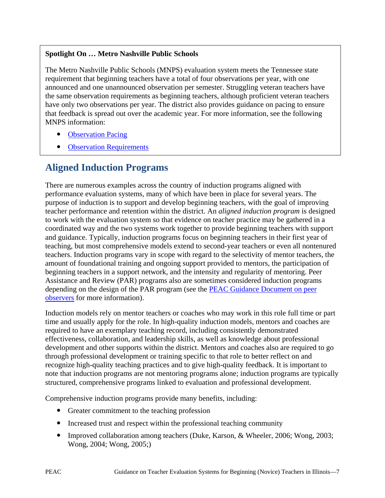#### **Spotlight On … Metro Nashville Public Schools**

The Metro Nashville Public Schools (MNPS) evaluation system meets the Tennessee state requirement that beginning teachers have a total of four observations per year, with one announced and one unannounced observation per semester. Struggling veteran teachers have the same observation requirements as beginning teachers, although proficient veteran teachers have only two observations per year. The district also provides guidance on pacing to ensure that feedback is spread out over the academic year. For more information, see the following MNPS information:

- [Observation Pacing](http://www.hr.mnps.org/AssetFactory.aspx?did=73414)
- [Observation Requirements](http://www.hr.mnps.org/Page82906.aspx)

### **Aligned Induction Programs**

There are numerous examples across the country of induction programs aligned with performance evaluation systems, many of which have been in place for several years. The purpose of induction is to support and develop beginning teachers, with the goal of improving teacher performance and retention within the district. An *aligned induction program* is designed to work with the evaluation system so that evidence on teacher practice may be gathered in a coordinated way and the two systems work together to provide beginning teachers with support and guidance. Typically, induction programs focus on beginning teachers in their first year of teaching, but most comprehensive models extend to second-year teachers or even all nontenured teachers. Induction programs vary in scope with regard to the selectivity of mentor teachers, the amount of foundational training and ongoing support provided to mentors, the participation of beginning teachers in a support network, and the intensity and regularity of mentoring. Peer Assistance and Review (PAR) programs also are sometimes considered induction programs depending on the design of the PAR program (see the PEAC Guidance Document on peer [observers](http://www.isbe.state.il.us/peac/pdf/guidance/13-17-pe-teacher-eval.pdf) for more information).

Induction models rely on mentor teachers or coaches who may work in this role full time or part time and usually apply for the role. In high-quality induction models, mentors and coaches are required to have an exemplary teaching record, including consistently demonstrated effectiveness, collaboration, and leadership skills, as well as knowledge about professional development and other supports within the district. Mentors and coaches also are required to go through professional development or training specific to that role to better reflect on and recognize high-quality teaching practices and to give high-quality feedback. It is important to note that induction programs are not mentoring programs alone; induction programs are typically structured, comprehensive programs linked to evaluation and professional development.

Comprehensive induction programs provide many benefits, including:

- Greater commitment to the teaching profession
- Increased trust and respect within the professional teaching community
- Improved collaboration among teachers (Duke, Karson, & Wheeler, 2006; Wong, 2003; Wong, 2004; Wong, 2005;)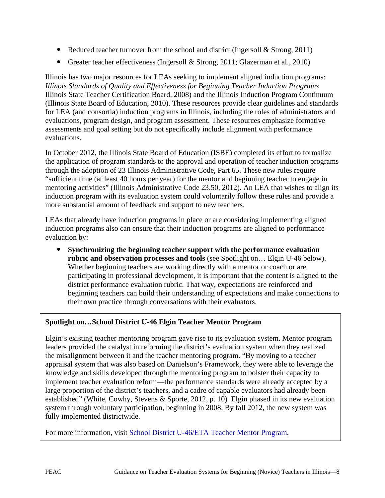- Reduced teacher turnover from the school and district (Ingersoll  $\&$  Strong, 2011)
- Greater teacher effectiveness (Ingersoll & Strong, 2011; Glazerman et al., 2010)

Illinois has two major resources for LEAs seeking to implement aligned induction programs: *Illinois Standards of Quality and Effectiveness for Beginning Teacher Induction Programs* Illinois State Teacher Certification Board, 2008) and the Illinois Induction Program Continuum (Illinois State Board of Education, 2010). These resources provide clear guidelines and standards for LEA (and consortia) induction programs in Illinois, including the roles of administrators and evaluations, program design, and program assessment. These resources emphasize formative assessments and goal setting but do not specifically include alignment with performance evaluations.

In October 2012, the Illinois State Board of Education (ISBE) completed its effort to formalize the application of program standards to the approval and operation of teacher induction programs through the adoption of 23 Illinois Administrative Code, Part 65. These new rules require "sufficient time (at least 40 hours per year) for the mentor and beginning teacher to engage in mentoring activities" (Illinois Administrative Code 23.50, 2012). An LEA that wishes to align its induction program with its evaluation system could voluntarily follow these rules and provide a more substantial amount of feedback and support to new teachers.

LEAs that already have induction programs in place or are considering implementing aligned induction programs also can ensure that their induction programs are aligned to performance evaluation by:

 **Synchronizing the beginning teacher support with the performance evaluation rubric and observation processes and tools** (see Spotlight on… Elgin U-46 below). Whether beginning teachers are working directly with a mentor or coach or are participating in professional development, it is important that the content is aligned to the district performance evaluation rubric. That way, expectations are reinforced and beginning teachers can build their understanding of expectations and make connections to their own practice through conversations with their evaluators.

#### **Spotlight on…School District U-46 Elgin Teacher Mentor Program**

Elgin's existing teacher mentoring program gave rise to its evaluation system. Mentor program leaders provided the catalyst in reforming the district's evaluation system when they realized the misalignment between it and the teacher mentoring program. "By moving to a teacher appraisal system that was also based on Danielson's Framework, they were able to leverage the knowledge and skills developed through the mentoring program to bolster their capacity to implement teacher evaluation reform—the performance standards were already accepted by a large proportion of the district's teachers, and a cadre of capable evaluators had already been established" (White, Cowhy, Stevens & Sporte, 2012, p. 10) Elgin phased in its new evaluation system through voluntary participation, beginning in 2008. By fall 2012, the new system was fully implemented districtwide.

For more information, visit [School District U-46/ETA](http://www.u-46.org/tmp/) Teacher Mentor Program.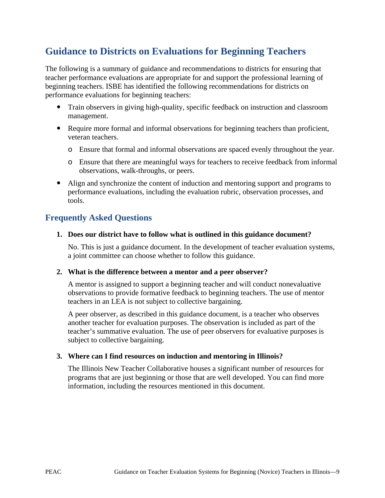### **Guidance to Districts on Evaluations for Beginning Teachers**

The following is a summary of guidance and recommendations to districts for ensuring that teacher performance evaluations are appropriate for and support the professional learning of beginning teachers. ISBE has identified the following recommendations for districts on performance evaluations for beginning teachers:

- Train observers in giving high-quality, specific feedback on instruction and classroom management.
- Require more formal and informal observations for beginning teachers than proficient, veteran teachers.
	- o Ensure that formal and informal observations are spaced evenly throughout the year.
	- o Ensure that there are meaningful ways for teachers to receive feedback from informal observations, walk-throughs, or peers.
- Align and synchronize the content of induction and mentoring support and programs to performance evaluations, including the evaluation rubric, observation processes, and tools.

#### **Frequently Asked Questions**

#### **1. Does our district have to follow what is outlined in this guidance document?**

No. This is just a guidance document. In the development of teacher evaluation systems, a joint committee can choose whether to follow this guidance.

#### **2. What is the difference between a mentor and a peer observer?**

A mentor is assigned to support a beginning teacher and will conduct nonevaluative observations to provide formative feedback to beginning teachers. The use of mentor teachers in an LEA is not subject to collective bargaining.

A peer observer, as described in this guidance document, is a teacher who observes another teacher for evaluation purposes. The observation is included as part of the teacher's summative evaluation. The use of peer observers for evaluative purposes is subject to collective bargaining.

#### **3. Where can I find resources on induction and mentoring in Illinois?**

The Illinois New Teacher Collaborative houses a significant number of resources for programs that are just beginning or those that are well developed. You can find more information, including the resources mentioned in this document.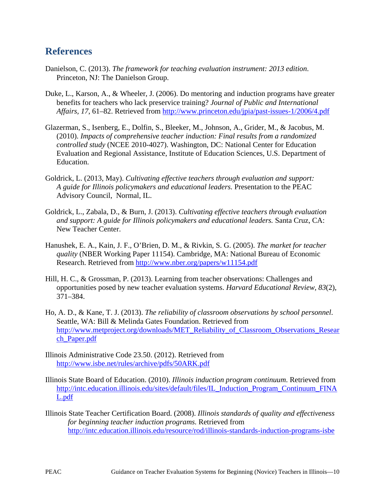### **References**

- Danielson, C. (2013). *The framework for teaching evaluation instrument: 2013 edition*. Princeton, NJ: The Danielson Group.
- Duke, L., Karson, A., & Wheeler, J. (2006). Do mentoring and induction programs have greater benefits for teachers who lack preservice training? *Journal of Public and International Affairs, 17*, 61–82. Retrieved from<http://www.princeton.edu/jpia/past-issues-1/2006/4.pdf>
- Glazerman, S., Isenberg, E., Dolfin, S., Bleeker, M., Johnson, A., Grider, M., & Jacobus, M. (2010). *Impacts of comprehensive teacher induction: Final results from a randomized controlled study* (NCEE 2010-4027). Washington, DC: National Center for Education Evaluation and Regional Assistance, Institute of Education Sciences, U.S. Department of Education.
- Goldrick, L. (2013, May). *Cultivating effective teachers through evaluation and support: A guide for Illinois policymakers and educational leaders.* Presentation to the PEAC Advisory Council, Normal, IL.
- Goldrick, L., Zabala, D., & Burn, J. (2013). *Cultivating effective teachers through evaluation and support: A guide for Illinois policymakers and educational leaders.* Santa Cruz, CA: New Teacher Center.
- Hanushek, E. A., Kain, J. F., O'Brien, D. M., & Rivkin, S. G. (2005). *The market for teacher quality* (NBER Working Paper 11154). Cambridge, MA: National Bureau of Economic Research. Retrieved from<http://www.nber.org/papers/w11154.pdf>
- Hill, H. C., & Grossman, P. (2013). Learning from teacher observations: Challenges and opportunities posed by new teacher evaluation systems. *Harvard Educational Review, 83*(2), 371–384.
- Ho, A. D., & Kane, T. J. (2013). *The reliability of classroom observations by school personnel*. Seattle, WA: Bill & Melinda Gates Foundation. Retrieved from [http://www.metproject.org/downloads/MET\\_Reliability\\_of\\_Classroom\\_Observations\\_Resear](http://www.metproject.org/downloads/MET_Reliability_of_Classroom_Observations_Research_Paper.pdf) [ch\\_Paper.pdf](http://www.metproject.org/downloads/MET_Reliability_of_Classroom_Observations_Research_Paper.pdf)
- Illinois Administrative Code 23.50. (2012). Retrieved from <http://www.isbe.net/rules/archive/pdfs/50ARK.pdf>
- Illinois State Board of Education. (2010). *Illinois induction program continuum*. Retrieved from [http://intc.education.illinois.edu/sites/default/files/IL\\_Induction\\_Program\\_Continuum\\_FINA](http://intc.education.illinois.edu/sites/default/files/IL_Induction_Program_Continuum_FINAL.pdf) [L.pdf](http://intc.education.illinois.edu/sites/default/files/IL_Induction_Program_Continuum_FINAL.pdf)
- Illinois State Teacher Certification Board. (2008). *Illinois standards of quality and effectiveness for beginning teacher induction programs.* Retrieved from <http://intc.education.illinois.edu/resource/rod/illinois-standards-induction-programs-isbe>